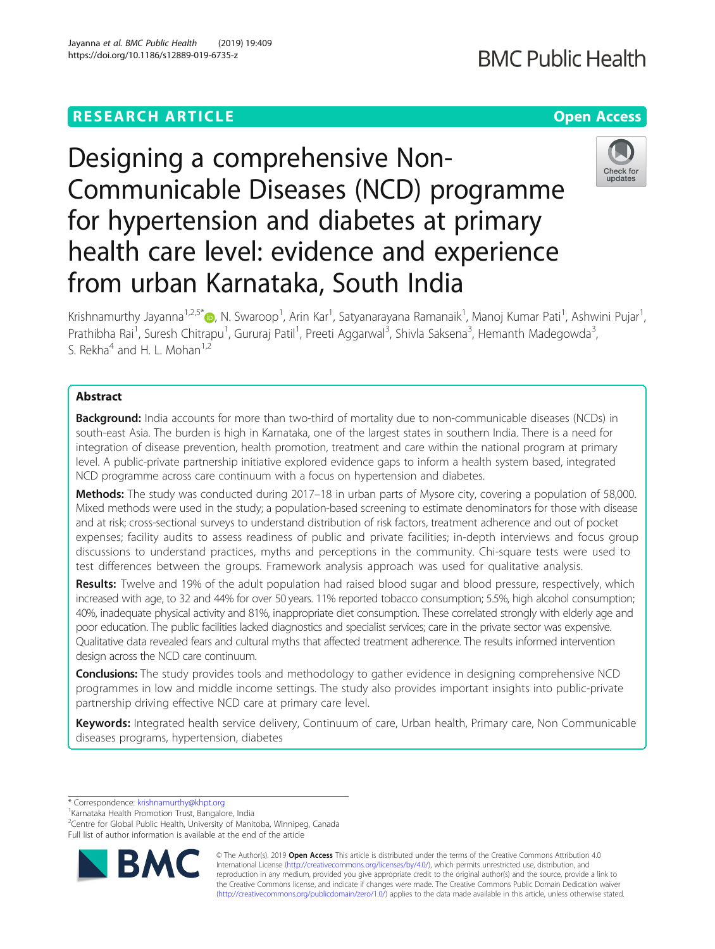# **RESEARCH ARTICLE Example 2014 12:30 The Contract of Contract ACCESS**

# **BMC Public Health**

# Designing a comprehensive Non-Communicable Diseases (NCD) programme for hypertension and diabetes at primary health care level: evidence and experience from urban Karnataka, South India



Krishnamurthy Jayanna<sup>1,2,5[\\*](http://orcid.org/0000-0002-0224-2543)</sup>®, N. Swaroop<sup>1</sup>, Arin Kar<sup>1</sup>, Satyanarayana Ramanaik<sup>1</sup>, Manoj Kumar Pati<sup>1</sup>, Ashwini Pujar<sup>1</sup> , Prathibha Rai<sup>1</sup>, Suresh Chitrapu<sup>1</sup>, Gururaj Patil<sup>1</sup>, Preeti Aggarwal<sup>3</sup>, Shivla Saksena<sup>3</sup>, Hemanth Madegowda<sup>3</sup> , S. Rekha<sup>4</sup> and H. L. Mohan<sup>1,2</sup>

# Abstract

Background: India accounts for more than two-third of mortality due to non-communicable diseases (NCDs) in south-east Asia. The burden is high in Karnataka, one of the largest states in southern India. There is a need for integration of disease prevention, health promotion, treatment and care within the national program at primary level. A public-private partnership initiative explored evidence gaps to inform a health system based, integrated NCD programme across care continuum with a focus on hypertension and diabetes.

Methods: The study was conducted during 2017–18 in urban parts of Mysore city, covering a population of 58,000. Mixed methods were used in the study; a population-based screening to estimate denominators for those with disease and at risk; cross-sectional surveys to understand distribution of risk factors, treatment adherence and out of pocket expenses; facility audits to assess readiness of public and private facilities; in-depth interviews and focus group discussions to understand practices, myths and perceptions in the community. Chi-square tests were used to test differences between the groups. Framework analysis approach was used for qualitative analysis.

Results: Twelve and 19% of the adult population had raised blood sugar and blood pressure, respectively, which increased with age, to 32 and 44% for over 50 years. 11% reported tobacco consumption; 5.5%, high alcohol consumption; 40%, inadequate physical activity and 81%, inappropriate diet consumption. These correlated strongly with elderly age and poor education. The public facilities lacked diagnostics and specialist services; care in the private sector was expensive. Qualitative data revealed fears and cultural myths that affected treatment adherence. The results informed intervention design across the NCD care continuum.

Conclusions: The study provides tools and methodology to gather evidence in designing comprehensive NCD programmes in low and middle income settings. The study also provides important insights into public-private partnership driving effective NCD care at primary care level.

Keywords: Integrated health service delivery, Continuum of care, Urban health, Primary care, Non Communicable diseases programs, hypertension, diabetes

\* Correspondence: [krishnamurthy@khpt.org](mailto:krishnamurthy@khpt.org) <sup>1</sup>

<sup>2</sup>Centre for Global Public Health, University of Manitoba, Winnipeg, Canada Full list of author information is available at the end of the article



© The Author(s). 2019 **Open Access** This article is distributed under the terms of the Creative Commons Attribution 4.0 International License [\(http://creativecommons.org/licenses/by/4.0/](http://creativecommons.org/licenses/by/4.0/)), which permits unrestricted use, distribution, and reproduction in any medium, provided you give appropriate credit to the original author(s) and the source, provide a link to the Creative Commons license, and indicate if changes were made. The Creative Commons Public Domain Dedication waiver [\(http://creativecommons.org/publicdomain/zero/1.0/](http://creativecommons.org/publicdomain/zero/1.0/)) applies to the data made available in this article, unless otherwise stated.

<sup>&</sup>lt;sup>1</sup> Karnataka Health Promotion Trust, Bangalore, India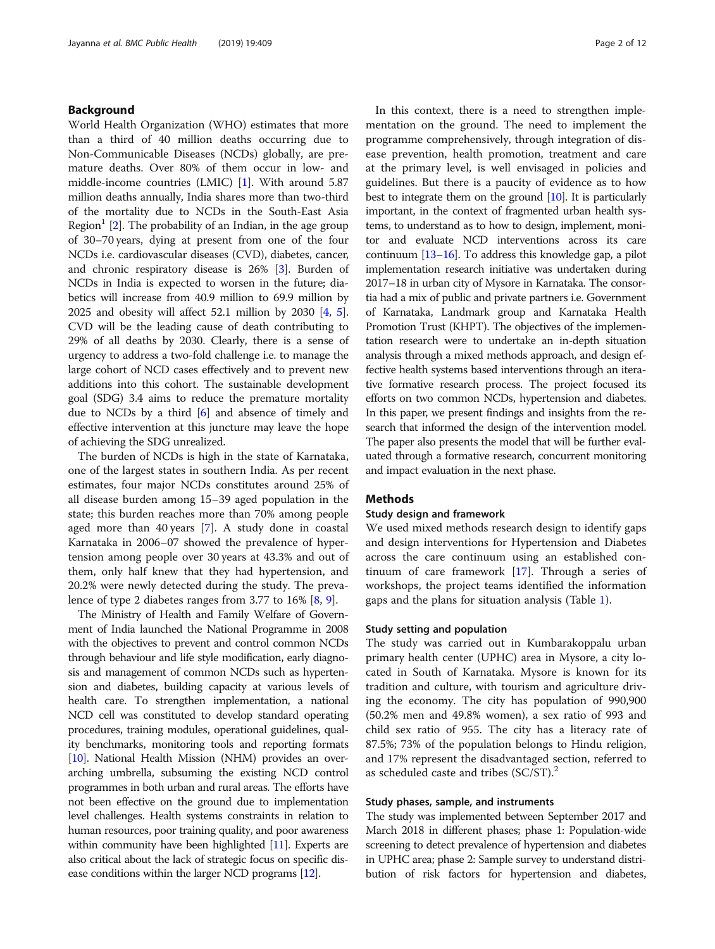# Background

World Health Organization (WHO) estimates that more than a third of 40 million deaths occurring due to Non-Communicable Diseases (NCDs) globally, are premature deaths. Over 80% of them occur in low- and middle-income countries (LMIC) [\[1](#page-10-0)]. With around 5.87 million deaths annually, India shares more than two-third of the mortality due to NCDs in the South-East Asia Region<sup>1</sup> [[2\]](#page-10-0). The probability of an Indian, in the age group of 30–70 years, dying at present from one of the four NCDs i.e. cardiovascular diseases (CVD), diabetes, cancer, and chronic respiratory disease is 26% [\[3\]](#page-10-0). Burden of NCDs in India is expected to worsen in the future; diabetics will increase from 40.9 million to 69.9 million by 2025 and obesity will affect 52.1 million by 2030 [\[4](#page-10-0), [5](#page-10-0)]. CVD will be the leading cause of death contributing to 29% of all deaths by 2030. Clearly, there is a sense of urgency to address a two-fold challenge i.e. to manage the large cohort of NCD cases effectively and to prevent new additions into this cohort. The sustainable development goal (SDG) 3.4 aims to reduce the premature mortality due to NCDs by a third [\[6\]](#page-10-0) and absence of timely and effective intervention at this juncture may leave the hope of achieving the SDG unrealized.

The burden of NCDs is high in the state of Karnataka, one of the largest states in southern India. As per recent estimates, four major NCDs constitutes around 25% of all disease burden among 15–39 aged population in the state; this burden reaches more than 70% among people aged more than 40 years [[7](#page-10-0)]. A study done in coastal Karnataka in 2006–07 showed the prevalence of hypertension among people over 30 years at 43.3% and out of them, only half knew that they had hypertension, and 20.2% were newly detected during the study. The prevalence of type 2 diabetes ranges from 3.77 to 16% [[8](#page-10-0), [9](#page-10-0)].

The Ministry of Health and Family Welfare of Government of India launched the National Programme in 2008 with the objectives to prevent and control common NCDs through behaviour and life style modification, early diagnosis and management of common NCDs such as hypertension and diabetes, building capacity at various levels of health care. To strengthen implementation, a national NCD cell was constituted to develop standard operating procedures, training modules, operational guidelines, quality benchmarks, monitoring tools and reporting formats [[10](#page-10-0)]. National Health Mission (NHM) provides an overarching umbrella, subsuming the existing NCD control programmes in both urban and rural areas. The efforts have not been effective on the ground due to implementation level challenges. Health systems constraints in relation to human resources, poor training quality, and poor awareness within community have been highlighted [[11\]](#page-10-0). Experts are also critical about the lack of strategic focus on specific disease conditions within the larger NCD programs [[12](#page-10-0)].

In this context, there is a need to strengthen implementation on the ground. The need to implement the programme comprehensively, through integration of disease prevention, health promotion, treatment and care at the primary level, is well envisaged in policies and guidelines. But there is a paucity of evidence as to how best to integrate them on the ground  $[10]$  $[10]$ . It is particularly important, in the context of fragmented urban health systems, to understand as to how to design, implement, monitor and evaluate NCD interventions across its care continuum  $[13-16]$  $[13-16]$  $[13-16]$  $[13-16]$ . To address this knowledge gap, a pilot implementation research initiative was undertaken during 2017–18 in urban city of Mysore in Karnataka. The consortia had a mix of public and private partners i.e. Government of Karnataka, Landmark group and Karnataka Health Promotion Trust (KHPT). The objectives of the implementation research were to undertake an in-depth situation analysis through a mixed methods approach, and design effective health systems based interventions through an iterative formative research process. The project focused its efforts on two common NCDs, hypertension and diabetes. In this paper, we present findings and insights from the research that informed the design of the intervention model. The paper also presents the model that will be further evaluated through a formative research, concurrent monitoring and impact evaluation in the next phase.

# Methods

# Study design and framework

We used mixed methods research design to identify gaps and design interventions for Hypertension and Diabetes across the care continuum using an established continuum of care framework [[17](#page-11-0)]. Through a series of workshops, the project teams identified the information gaps and the plans for situation analysis (Table [1](#page-2-0)).

# Study setting and population

The study was carried out in Kumbarakoppalu urban primary health center (UPHC) area in Mysore, a city located in South of Karnataka. Mysore is known for its tradition and culture, with tourism and agriculture driving the economy. The city has population of 990,900 (50.2% men and 49.8% women), a sex ratio of 993 and child sex ratio of 955. The city has a literacy rate of 87.5%; 73% of the population belongs to Hindu religion, and 17% represent the disadvantaged section, referred to as scheduled caste and tribes  $(SC/ST)^2$ .

# Study phases, sample, and instruments

The study was implemented between September 2017 and March 2018 in different phases; phase 1: Population-wide screening to detect prevalence of hypertension and diabetes in UPHC area; phase 2: Sample survey to understand distribution of risk factors for hypertension and diabetes,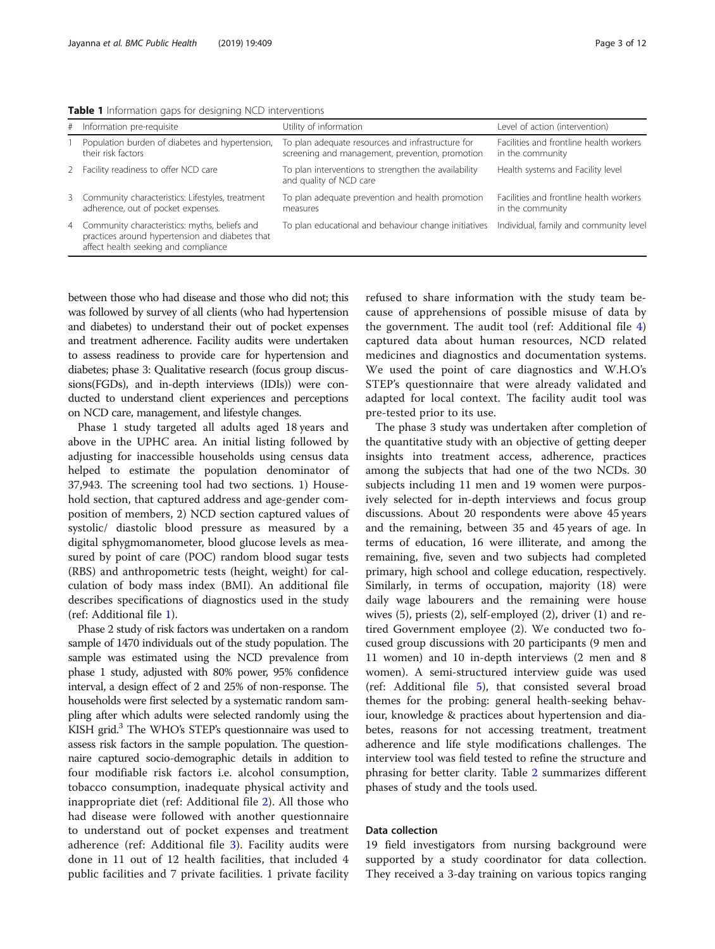<span id="page-2-0"></span>

| # Information pre-requisite                                                                                                                | Utility of information                                                                               | Level of action (intervention)                              |
|--------------------------------------------------------------------------------------------------------------------------------------------|------------------------------------------------------------------------------------------------------|-------------------------------------------------------------|
| Population burden of diabetes and hypertension,<br>their risk factors                                                                      | To plan adequate resources and infrastructure for<br>screening and management, prevention, promotion | Facilities and frontline health workers<br>in the community |
| 2 Facility readiness to offer NCD care                                                                                                     | To plan interventions to strengthen the availability<br>and quality of NCD care                      | Health systems and Facility level                           |
| 3 Community characteristics: Lifestyles, treatment<br>adherence, out of pocket expenses.                                                   | To plan adequate prevention and health promotion<br>measures                                         | Facilities and frontline health workers<br>in the community |
| 4 Community characteristics: myths, beliefs and<br>practices around hypertension and diabetes that<br>affect health seeking and compliance | To plan educational and behaviour change initiatives                                                 | Individual, family and community level                      |

between those who had disease and those who did not; this was followed by survey of all clients (who had hypertension and diabetes) to understand their out of pocket expenses and treatment adherence. Facility audits were undertaken to assess readiness to provide care for hypertension and diabetes; phase 3: Qualitative research (focus group discussions(FGDs), and in-depth interviews (IDIs)) were conducted to understand client experiences and perceptions on NCD care, management, and lifestyle changes.

Phase 1 study targeted all adults aged 18 years and above in the UPHC area. An initial listing followed by adjusting for inaccessible households using census data helped to estimate the population denominator of 37,943. The screening tool had two sections. 1) Household section, that captured address and age-gender composition of members, 2) NCD section captured values of systolic/ diastolic blood pressure as measured by a digital sphygmomanometer, blood glucose levels as measured by point of care (POC) random blood sugar tests (RBS) and anthropometric tests (height, weight) for calculation of body mass index (BMI). An additional file describes specifications of diagnostics used in the study (ref: Additional file [1\)](#page-9-0).

Phase 2 study of risk factors was undertaken on a random sample of 1470 individuals out of the study population. The sample was estimated using the NCD prevalence from phase 1 study, adjusted with 80% power, 95% confidence interval, a design effect of 2 and 25% of non-response. The households were first selected by a systematic random sampling after which adults were selected randomly using the KISH grid. $3$  The WHO's STEP's questionnaire was used to assess risk factors in the sample population. The questionnaire captured socio-demographic details in addition to four modifiable risk factors i.e. alcohol consumption, tobacco consumption, inadequate physical activity and inappropriate diet (ref: Additional file [2](#page-9-0)). All those who had disease were followed with another questionnaire to understand out of pocket expenses and treatment adherence (ref: Additional file [3\)](#page-9-0). Facility audits were done in 11 out of 12 health facilities, that included 4 public facilities and 7 private facilities. 1 private facility refused to share information with the study team because of apprehensions of possible misuse of data by the government. The audit tool (ref: Additional file [4](#page-10-0)) captured data about human resources, NCD related medicines and diagnostics and documentation systems. We used the point of care diagnostics and W.H.O's STEP's questionnaire that were already validated and adapted for local context. The facility audit tool was pre-tested prior to its use.

The phase 3 study was undertaken after completion of the quantitative study with an objective of getting deeper insights into treatment access, adherence, practices among the subjects that had one of the two NCDs. 30 subjects including 11 men and 19 women were purposively selected for in-depth interviews and focus group discussions. About 20 respondents were above 45 years and the remaining, between 35 and 45 years of age. In terms of education, 16 were illiterate, and among the remaining, five, seven and two subjects had completed primary, high school and college education, respectively. Similarly, in terms of occupation, majority (18) were daily wage labourers and the remaining were house wives (5), priests (2), self-employed (2), driver (1) and retired Government employee (2). We conducted two focused group discussions with 20 participants (9 men and 11 women) and 10 in-depth interviews (2 men and 8 women). A semi-structured interview guide was used (ref: Additional file [5\)](#page-10-0), that consisted several broad themes for the probing: general health-seeking behaviour, knowledge & practices about hypertension and diabetes, reasons for not accessing treatment, treatment adherence and life style modifications challenges. The interview tool was field tested to refine the structure and phrasing for better clarity. Table [2](#page-3-0) summarizes different phases of study and the tools used.

# Data collection

19 field investigators from nursing background were supported by a study coordinator for data collection. They received a 3-day training on various topics ranging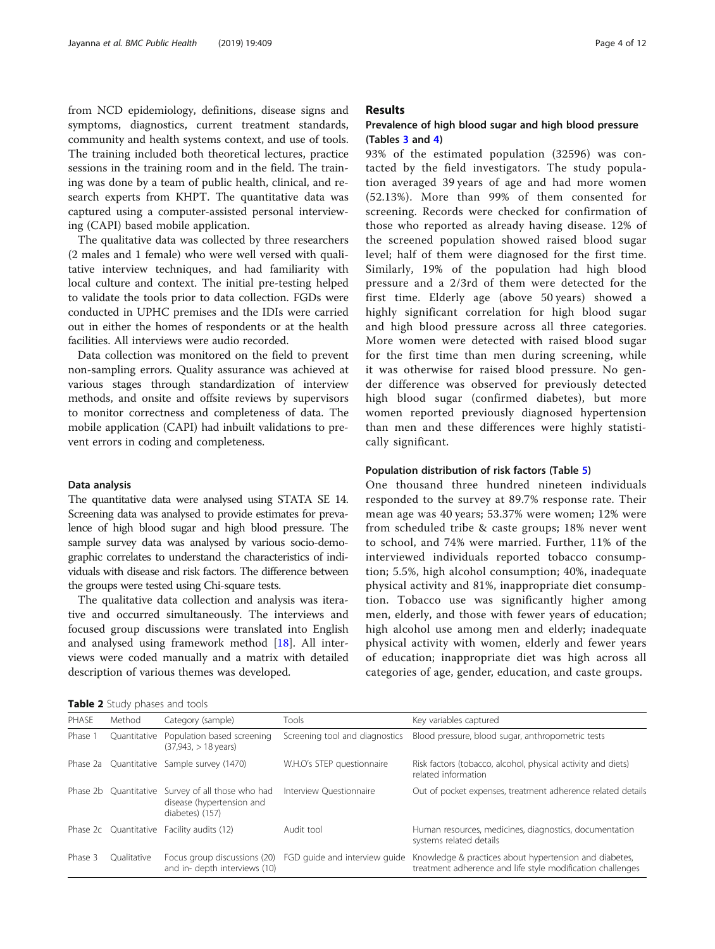<span id="page-3-0"></span>from NCD epidemiology, definitions, disease signs and symptoms, diagnostics, current treatment standards, community and health systems context, and use of tools. The training included both theoretical lectures, practice sessions in the training room and in the field. The training was done by a team of public health, clinical, and research experts from KHPT. The quantitative data was captured using a computer-assisted personal interviewing (CAPI) based mobile application.

The qualitative data was collected by three researchers (2 males and 1 female) who were well versed with qualitative interview techniques, and had familiarity with local culture and context. The initial pre-testing helped to validate the tools prior to data collection. FGDs were conducted in UPHC premises and the IDIs were carried out in either the homes of respondents or at the health facilities. All interviews were audio recorded.

Data collection was monitored on the field to prevent non-sampling errors. Quality assurance was achieved at various stages through standardization of interview methods, and onsite and offsite reviews by supervisors to monitor correctness and completeness of data. The mobile application (CAPI) had inbuilt validations to prevent errors in coding and completeness.

# Data analysis

The quantitative data were analysed using STATA SE 14. Screening data was analysed to provide estimates for prevalence of high blood sugar and high blood pressure. The sample survey data was analysed by various socio-demographic correlates to understand the characteristics of individuals with disease and risk factors. The difference between the groups were tested using Chi-square tests.

The qualitative data collection and analysis was iterative and occurred simultaneously. The interviews and focused group discussions were translated into English and analysed using framework method  $[18]$ . All interviews were coded manually and a matrix with detailed description of various themes was developed.

# Results

# Prevalence of high blood sugar and high blood pressure (Tables [3](#page-4-0) and [4](#page-4-0))

93% of the estimated population (32596) was contacted by the field investigators. The study population averaged 39 years of age and had more women (52.13%). More than 99% of them consented for screening. Records were checked for confirmation of those who reported as already having disease. 12% of the screened population showed raised blood sugar level; half of them were diagnosed for the first time. Similarly, 19% of the population had high blood pressure and a 2/3rd of them were detected for the first time. Elderly age (above 50 years) showed a highly significant correlation for high blood sugar and high blood pressure across all three categories. More women were detected with raised blood sugar for the first time than men during screening, while it was otherwise for raised blood pressure. No gender difference was observed for previously detected high blood sugar (confirmed diabetes), but more women reported previously diagnosed hypertension than men and these differences were highly statistically significant.

# Population distribution of risk factors (Table [5\)](#page-5-0)

One thousand three hundred nineteen individuals responded to the survey at 89.7% response rate. Their mean age was 40 years; 53.37% were women; 12% were from scheduled tribe & caste groups; 18% never went to school, and 74% were married. Further, 11% of the interviewed individuals reported tobacco consumption; 5.5%, high alcohol consumption; 40%, inadequate physical activity and 81%, inappropriate diet consumption. Tobacco use was significantly higher among men, elderly, and those with fewer years of education; high alcohol use among men and elderly; inadequate physical activity with women, elderly and fewer years of education; inappropriate diet was high across all categories of age, gender, education, and caste groups.

| Table 2 Study phases and tools |  |  |  |  |
|--------------------------------|--|--|--|--|
|--------------------------------|--|--|--|--|

| PHASE   | Method       | Category (sample)                                                                                 | Tools                          | Key variables captured                                                                                               |
|---------|--------------|---------------------------------------------------------------------------------------------------|--------------------------------|----------------------------------------------------------------------------------------------------------------------|
| Phase 1 | Ouantitative | Population based screening<br>$(37,943, > 18$ years)                                              | Screening tool and diagnostics | Blood pressure, blood sugar, anthropometric tests                                                                    |
|         |              | Phase 2a Quantitative Sample survey (1470)                                                        | W.H.O's STEP questionnaire     | Risk factors (tobacco, alcohol, physical activity and diets)<br>related information                                  |
|         |              | Phase 2b Quantitative Survey of all those who had<br>disease (hypertension and<br>diabetes) (157) | Interview Ouestionnaire        | Out of pocket expenses, treatment adherence related details                                                          |
|         |              | Phase 2c Quantitative Facility audits (12)                                                        | Audit tool                     | Human resources, medicines, diagnostics, documentation<br>systems related details                                    |
| Phase 3 | Oualitative  | Focus group discussions (20)<br>and in- depth interviews (10)                                     | FGD quide and interview quide  | Knowledge & practices about hypertension and diabetes,<br>treatment adherence and life style modification challenges |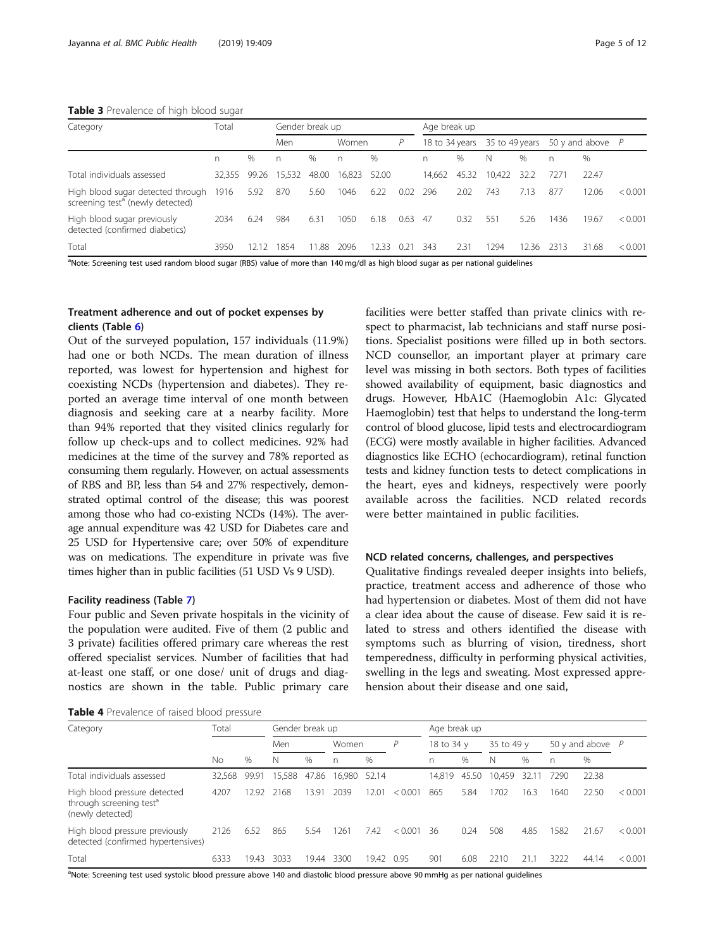# <span id="page-4-0"></span>Table 3 Prevalence of high blood sugar

| Category                                                                          | Total  |       | Gender break up |       |        |       | Age break up |        |       |                               |       |                    |       |         |
|-----------------------------------------------------------------------------------|--------|-------|-----------------|-------|--------|-------|--------------|--------|-------|-------------------------------|-------|--------------------|-------|---------|
|                                                                                   |        |       | Men             |       | Women  |       | P            |        |       | 18 to 34 years 35 to 49 years |       | 50 y and above $P$ |       |         |
|                                                                                   | n      | $\%$  | n               | $\%$  | n      | $\%$  |              | n      | %     | N                             | $\%$  | n                  | %     |         |
| Total individuals assessed                                                        | 32.355 | 99.26 | 15,532          | 48.00 | 16,823 | 52.00 |              | 14.662 | 45.32 | 10,422                        | 32.2  | 7271               | 22.47 |         |
| High blood sugar detected through<br>screening test <sup>a</sup> (newly detected) | 1916   | 5.92  | 870             | 5.60  | 1046   | 6.22  | 0.02         | 296    | 2.02  | 743                           | 7.13  | 877                | 12.06 | < 0.001 |
| High blood sugar previously<br>detected (confirmed diabetics)                     | 2034   | 6.24  | 984             | 6.31  | 1050   | 6.18  | 0.63         | -47    | 0.32  | 551                           | 5.26  | 1436               | 19.67 | < 0.001 |
| Total                                                                             | 3950   | 2.1   | 1854            | 11.88 | 2096   | 12.33 | 0.21         | 343    | 2.31  | 294                           | 12.36 | 2313               | 31.68 | < 0.001 |

<sup>a</sup>Note: Screening test used random blood sugar (RBS) value of more than 140 mg/dl as high blood sugar as per national guidelines

# Treatment adherence and out of pocket expenses by clients (Table [6](#page-5-0))

Out of the surveyed population, 157 individuals (11.9%) had one or both NCDs. The mean duration of illness reported, was lowest for hypertension and highest for coexisting NCDs (hypertension and diabetes). They reported an average time interval of one month between diagnosis and seeking care at a nearby facility. More than 94% reported that they visited clinics regularly for follow up check-ups and to collect medicines. 92% had medicines at the time of the survey and 78% reported as consuming them regularly. However, on actual assessments of RBS and BP, less than 54 and 27% respectively, demonstrated optimal control of the disease; this was poorest among those who had co-existing NCDs (14%). The average annual expenditure was 42 USD for Diabetes care and 25 USD for Hypertensive care; over 50% of expenditure was on medications. The expenditure in private was five times higher than in public facilities (51 USD Vs 9 USD).

# Facility readiness (Table [7](#page-6-0))

Four public and Seven private hospitals in the vicinity of the population were audited. Five of them (2 public and 3 private) facilities offered primary care whereas the rest offered specialist services. Number of facilities that had at-least one staff, or one dose/ unit of drugs and diagnostics are shown in the table. Public primary care

Table 4 Prevalence of raised blood pressure

facilities were better staffed than private clinics with respect to pharmacist, lab technicians and staff nurse positions. Specialist positions were filled up in both sectors. NCD counsellor, an important player at primary care level was missing in both sectors. Both types of facilities showed availability of equipment, basic diagnostics and drugs. However, HbA1C (Haemoglobin A1c: Glycated Haemoglobin) test that helps to understand the long-term control of blood glucose, lipid tests and electrocardiogram (ECG) were mostly available in higher facilities. Advanced diagnostics like ECHO (echocardiogram), retinal function tests and kidney function tests to detect complications in the heart, eyes and kidneys, respectively were poorly available across the facilities. NCD related records were better maintained in public facilities.

# NCD related concerns, challenges, and perspectives

Qualitative findings revealed deeper insights into beliefs, practice, treatment access and adherence of those who had hypertension or diabetes. Most of them did not have a clear idea about the cause of disease. Few said it is related to stress and others identified the disease with symptoms such as blurring of vision, tiredness, short temperedness, difficulty in performing physical activities, swelling in the legs and sweating. Most expressed apprehension about their disease and one said,

| Category                                                                                | Total<br>Gender break up |       |        |       |        |            | Age break up |            |       |            |       |                |       |         |
|-----------------------------------------------------------------------------------------|--------------------------|-------|--------|-------|--------|------------|--------------|------------|-------|------------|-------|----------------|-------|---------|
|                                                                                         |                          |       | Men    |       |        | Women<br>Р |              | 18 to 34 y |       | 35 to 49 y |       | 50 y and above |       | P       |
|                                                                                         | Nο                       | $\%$  | N      | $\%$  | n      | $\%$       |              |            | $\%$  | N          | $\%$  | n              | %     |         |
| Total individuals assessed                                                              | 32.568                   | 99.91 | 15.588 | 47.86 | 16.980 | 52.14      |              | 14.819     | 45.50 | 10.459     | 32.11 | 7290           | 22.38 |         |
| High blood pressure detected<br>through screening test <sup>a</sup><br>(newly detected) | 4207                     | 12.92 | 2168   | 13.91 | 2039   | 12.01      | < 0.001      | 865        | 5.84  | 1702       | 16.3  | 1640           | 22.50 | < 0.001 |
| High blood pressure previously<br>detected (confirmed hypertensives)                    | 2126                     | 6.52  | 865    | 5.54  | 261    | 7.42       | < 0.001      | 36         | 0.24  | 508        | 4.85  | 582            | 21.67 | < 0.001 |
| Total                                                                                   | 6333                     | 19.43 | 3033   | 19.44 | 3300   | 19.42 0.95 |              | 901        | 6.08  | 2210       | 21.1  | 3222           | 44.14 | < 0.001 |

<sup>a</sup>Note: Screening test used systolic blood pressure above 140 and diastolic blood pressure above 90 mmHg as per national guidelines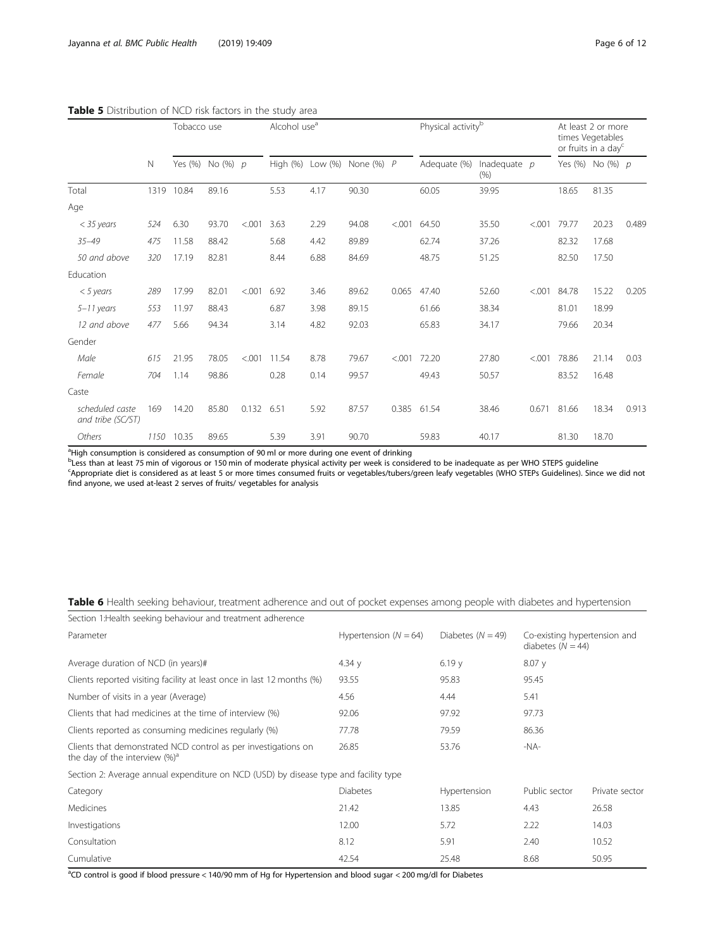|                                      |             | Tobacco use |                  |        | Alcohol use <sup>a</sup> |      |                          |         | Physical activity <sup>b</sup> |                         |         |       | At least 2 or more<br>times Vegetables<br>or fruits in a day <sup>c</sup> |       |
|--------------------------------------|-------------|-------------|------------------|--------|--------------------------|------|--------------------------|---------|--------------------------------|-------------------------|---------|-------|---------------------------------------------------------------------------|-------|
|                                      | $\mathbb N$ |             | Yes (%) No (%) p |        | High $(\%)$              |      | Low $(\%)$ None $(\%)$ P |         | Adequate (%)                   | Inadequate $p$<br>(9/6) |         |       | Yes (%) No (%) p                                                          |       |
| Total                                |             | 1319 10.84  | 89.16            |        | 5.53                     | 4.17 | 90.30                    |         | 60.05                          | 39.95                   |         | 18.65 | 81.35                                                                     |       |
| Age                                  |             |             |                  |        |                          |      |                          |         |                                |                         |         |       |                                                                           |       |
| $<$ 35 years                         | 524         | 6.30        | 93.70            | < .001 | 3.63                     | 2.29 | 94.08                    | < .001  | 64.50                          | 35.50                   | < 0.001 | 79.77 | 20.23                                                                     | 0.489 |
| $35 - 49$                            | 475         | 11.58       | 88.42            |        | 5.68                     | 4.42 | 89.89                    |         | 62.74                          | 37.26                   |         | 82.32 | 17.68                                                                     |       |
| 50 and above                         | 320         | 17.19       | 82.81            |        | 8.44                     | 6.88 | 84.69                    |         | 48.75                          | 51.25                   |         | 82.50 | 17.50                                                                     |       |
| Education                            |             |             |                  |        |                          |      |                          |         |                                |                         |         |       |                                                                           |       |
| $<$ 5 years                          | 289         | 17.99       | 82.01            | < .001 | 6.92                     | 3.46 | 89.62                    | 0.065   | 47.40                          | 52.60                   | < 0.001 | 84.78 | 15.22                                                                     | 0.205 |
| $5 - 11$ years                       | 553         | 11.97       | 88.43            |        | 6.87                     | 3.98 | 89.15                    |         | 61.66                          | 38.34                   |         | 81.01 | 18.99                                                                     |       |
| 12 and above                         | 477         | 5.66        | 94.34            |        | 3.14                     | 4.82 | 92.03                    |         | 65.83                          | 34.17                   |         | 79.66 | 20.34                                                                     |       |
| Gender                               |             |             |                  |        |                          |      |                          |         |                                |                         |         |       |                                                                           |       |
| Male                                 | 615         | 21.95       | 78.05            | < .001 | 11.54                    | 8.78 | 79.67                    | < 0.001 | 72.20                          | 27.80                   | < 0.001 | 78.86 | 21.14                                                                     | 0.03  |
| Female                               | 704         | 1.14        | 98.86            |        | 0.28                     | 0.14 | 99.57                    |         | 49.43                          | 50.57                   |         | 83.52 | 16.48                                                                     |       |
| Caste                                |             |             |                  |        |                          |      |                          |         |                                |                         |         |       |                                                                           |       |
| scheduled caste<br>and tribe (SC/ST) | 169         | 14.20       | 85.80            | 0.132  | 6.51                     | 5.92 | 87.57                    | 0.385   | 61.54                          | 38.46                   | 0.671   | 81.66 | 18.34                                                                     | 0.913 |
| Others                               | 1150        | 10.35       | 89.65            |        | 5.39                     | 3.91 | 90.70                    |         | 59.83                          | 40.17                   |         | 81.30 | 18.70                                                                     |       |

# <span id="page-5-0"></span>Table 5 Distribution of NCD risk factors in the study area

<sup>a</sup>High consumption is considered as consumption of 90 ml or more during one event of drinking

b<br>Less than at least 75 min of vigorous or 150 min of moderate physical activity per week is considered to be inadequate as per WHO STEPS guideline

c Appropriate diet is considered as at least 5 or more times consumed fruits or vegetables/tubers/green leafy vegetables (WHO STEPs Guidelines). Since we did not find anyone, we used at-least 2 serves of fruits/ vegetables for analysis

# Table 6 Health seeking behaviour, treatment adherence and out of pocket expenses among people with diabetes and hypertension

| Section 1: Health seeking behaviour and treatment adherence                                         |                         |                     |                                                     |                |  |
|-----------------------------------------------------------------------------------------------------|-------------------------|---------------------|-----------------------------------------------------|----------------|--|
| Parameter                                                                                           | Hypertension $(N = 64)$ | Diabetes $(N = 49)$ | Co-existing hypertension and<br>diabetes $(N = 44)$ |                |  |
| Average duration of NCD (in years)#                                                                 | 4.34 $y$                | 6.19y               | 8.07 y                                              |                |  |
| Clients reported visiting facility at least once in last 12 months (%)                              | 93.55                   | 95.83               | 95.45                                               |                |  |
| Number of visits in a year (Average)                                                                | 4.56                    | 4.44                | 5.41                                                |                |  |
| Clients that had medicines at the time of interview (%)                                             | 92.06                   | 97.92               | 97.73                                               |                |  |
| Clients reported as consuming medicines regularly (%)                                               | 77.78                   | 79.59               | 86.36                                               |                |  |
| Clients that demonstrated NCD control as per investigations on<br>the day of the interview $(\%)^a$ | 26.85                   | 53.76               | $-NA-$                                              |                |  |
| Section 2: Average annual expenditure on NCD (USD) by disease type and facility type                |                         |                     |                                                     |                |  |
| Category                                                                                            | <b>Diabetes</b>         | Hypertension        | Public sector                                       | Private sector |  |
| Medicines                                                                                           | 21.42                   | 13.85               | 4.43                                                | 26.58          |  |
| Investigations                                                                                      | 12.00                   | 5.72                | 2.22                                                | 14.03          |  |
| Consultation                                                                                        | 8.12                    | 5.91                | 2.40                                                | 10.52          |  |
| Cumulative                                                                                          | 42.54                   | 25.48               | 8.68                                                | 50.95          |  |

<sup>a</sup>CD control is good if blood pressure < 140/90 mm of Hg for Hypertension and blood sugar < 200 mg/dl for Diabetes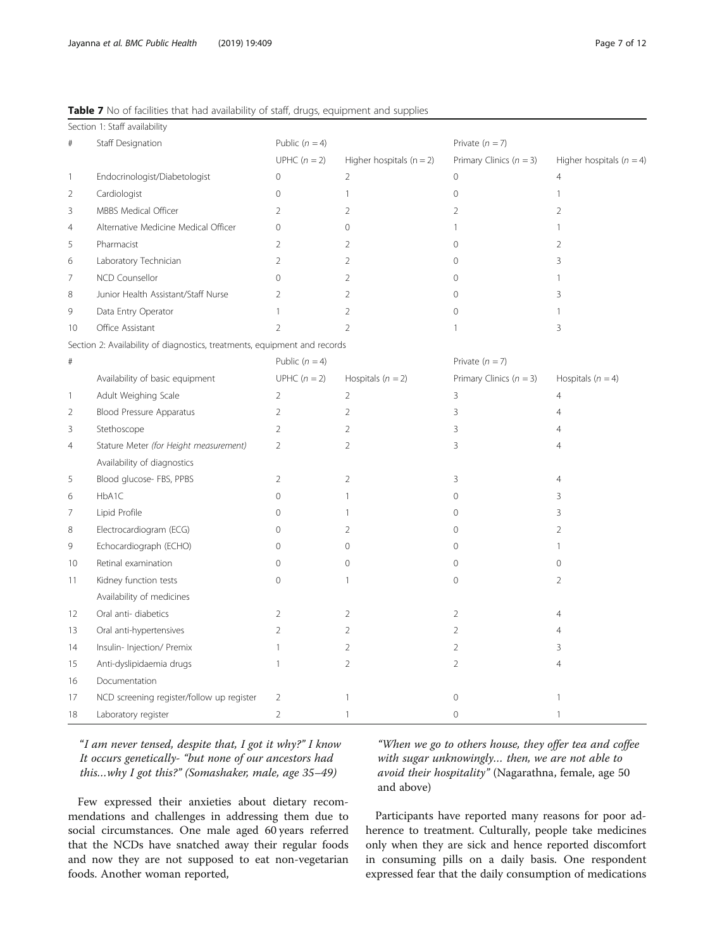# <span id="page-6-0"></span>Table 7 No of facilities that had availability of staff, drugs, equipment and supplies

|                | Section 1: Staff availability                                             |                  |                              |                           |                              |  |  |
|----------------|---------------------------------------------------------------------------|------------------|------------------------------|---------------------------|------------------------------|--|--|
| $\#$           | Staff Designation                                                         | Public $(n = 4)$ |                              | Private $(n = 7)$         |                              |  |  |
|                |                                                                           | UPHC $(n = 2)$   | Higher hospitals ( $n = 2$ ) | Primary Clinics $(n = 3)$ | Higher hospitals ( $n = 4$ ) |  |  |
| $\mathbf{1}$   | Endocrinologist/Diabetologist                                             | $\mathbf 0$      | $\overline{2}$               | $\mathsf{O}\xspace$       | 4                            |  |  |
| $\overline{2}$ | Cardiologist                                                              | $\mathbf 0$      | $\mathbf{1}$                 | $\overline{0}$            | $\mathbf{1}$                 |  |  |
| 3              | MBBS Medical Officer                                                      | $\overline{2}$   | $\overline{2}$               | $\overline{2}$            | $\overline{2}$               |  |  |
| 4              | Alternative Medicine Medical Officer                                      | $\mathbf 0$      | $\mathbf 0$                  | $\mathbf{1}$              | $\mathbf{1}$                 |  |  |
| 5              | Pharmacist                                                                | $\overline{2}$   | $\overline{2}$               | $\mathsf{O}\xspace$       | $\overline{2}$               |  |  |
| 6              | Laboratory Technician                                                     | $\overline{2}$   | $\overline{2}$               | $\circ$                   | 3                            |  |  |
| 7              | NCD Counsellor                                                            | $\mathbf{0}$     | $\overline{2}$               | $\circ$                   | 1                            |  |  |
| 8              | Junior Health Assistant/Staff Nurse                                       | $\overline{2}$   | $\overline{2}$               | $\mathsf{O}\xspace$       | 3                            |  |  |
| 9              | Data Entry Operator                                                       | $\mathbf{1}$     | $\overline{2}$               | $\mathsf{O}\xspace$       | $\mathbf{1}$                 |  |  |
| 10             | Office Assistant                                                          | $\overline{2}$   | $\overline{2}$               | $\mathbf{1}$              | 3                            |  |  |
|                | Section 2: Availability of diagnostics, treatments, equipment and records |                  |                              |                           |                              |  |  |
| $\#$           |                                                                           | Public $(n = 4)$ |                              | Private $(n = 7)$         |                              |  |  |
|                | Availability of basic equipment                                           | UPHC $(n = 2)$   | Hospitals $(n = 2)$          | Primary Clinics $(n = 3)$ | Hospitals $(n = 4)$          |  |  |
| 1              | Adult Weighing Scale                                                      | $\overline{2}$   | $\overline{2}$               | 3                         | $\overline{4}$               |  |  |
| 2              | Blood Pressure Apparatus                                                  | $\overline{2}$   | $\mathbf 2$                  | 3                         | 4                            |  |  |
| 3              | Stethoscope                                                               | $\overline{2}$   | $\overline{2}$               | 3                         | 4                            |  |  |
| 4              | Stature Meter (for Height measurement)                                    | $\overline{2}$   | $\overline{2}$               | 3                         | $\overline{4}$               |  |  |
|                | Availability of diagnostics                                               |                  |                              |                           |                              |  |  |
| 5              | Blood glucose- FBS, PPBS                                                  | $\overline{2}$   | $\overline{2}$               | 3                         | 4                            |  |  |
| 6              | HbA1C                                                                     | $\mathbf 0$      | $\mathbf{1}$                 | $\mathsf{O}\xspace$       | 3                            |  |  |
| 7              | Lipid Profile                                                             | $\mathbf 0$      | $\mathbf{1}$                 | $\mathsf{O}\xspace$       | 3                            |  |  |
| 8              | Electrocardiogram (ECG)                                                   | $\mathbf 0$      | $\overline{2}$               | $\circ$                   | $\overline{2}$               |  |  |
| 9              | Echocardiograph (ECHO)                                                    | $\mathbf 0$      | $\mathbf 0$                  | $\mathsf{O}\xspace$       | $\mathbf{1}$                 |  |  |
| 10             | Retinal examination                                                       | $\mathbf 0$      | $\mathbf 0$                  | $\mathsf{O}\xspace$       | $\overline{0}$               |  |  |
| 11             | Kidney function tests                                                     | $\overline{0}$   | $\mathbf{1}$                 | $\overline{0}$            | $\overline{2}$               |  |  |
|                | Availability of medicines                                                 |                  |                              |                           |                              |  |  |
| 12             | Oral anti-diabetics                                                       | $\overline{2}$   | $\overline{2}$               | $\overline{2}$            | $\overline{4}$               |  |  |
| 13             | Oral anti-hypertensives                                                   | $\overline{2}$   | $\overline{2}$               | $\overline{2}$            | $\overline{4}$               |  |  |
| 14             | Insulin- Injection/ Premix                                                | 1                | $\overline{2}$               | $\overline{2}$            | 3                            |  |  |
| 15             | Anti-dyslipidaemia drugs                                                  | 1                | $\overline{2}$               | $\overline{2}$            | $\overline{4}$               |  |  |
| 16             | Documentation                                                             |                  |                              |                           |                              |  |  |
| 17             | NCD screening register/follow up register                                 | $\overline{2}$   | $\mathbf{1}$                 | $\mathbf 0$               | $\mathbf{1}$                 |  |  |
| 18             | Laboratory register                                                       | $\overline{2}$   | $\mathbf{1}$                 | $\circ$                   | $\mathbf{1}$                 |  |  |

"I am never tensed, despite that, I got it why?" I know It occurs genetically- "but none of our ancestors had this…why I got this?" (Somashaker, male, age 35–49)

Few expressed their anxieties about dietary recommendations and challenges in addressing them due to social circumstances. One male aged 60 years referred that the NCDs have snatched away their regular foods and now they are not supposed to eat non-vegetarian foods. Another woman reported,

"When we go to others house, they offer tea and coffee with sugar unknowingly… then, we are not able to avoid their hospitality" (Nagarathna, female, age 50 and above)

Participants have reported many reasons for poor adherence to treatment. Culturally, people take medicines only when they are sick and hence reported discomfort in consuming pills on a daily basis. One respondent expressed fear that the daily consumption of medications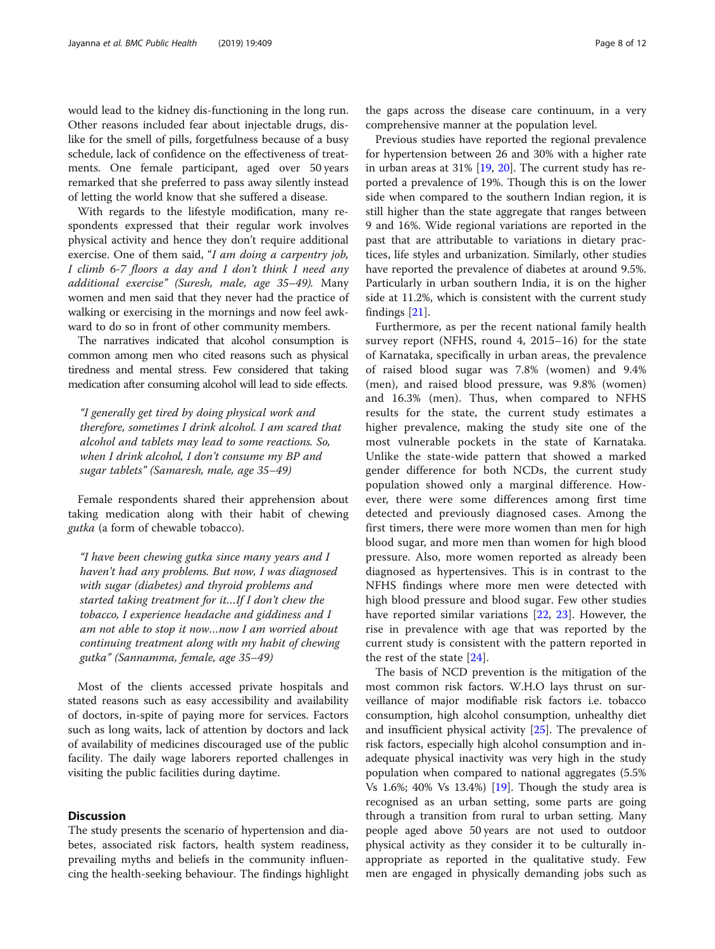would lead to the kidney dis-functioning in the long run. Other reasons included fear about injectable drugs, dislike for the smell of pills, forgetfulness because of a busy schedule, lack of confidence on the effectiveness of treatments. One female participant, aged over 50 years remarked that she preferred to pass away silently instead of letting the world know that she suffered a disease.

With regards to the lifestyle modification, many respondents expressed that their regular work involves physical activity and hence they don't require additional exercise. One of them said, "I am doing a carpentry job, I climb 6-7 floors a day and I don't think I need any additional exercise" (Suresh, male, age 35–49). Many women and men said that they never had the practice of walking or exercising in the mornings and now feel awkward to do so in front of other community members.

The narratives indicated that alcohol consumption is common among men who cited reasons such as physical tiredness and mental stress. Few considered that taking medication after consuming alcohol will lead to side effects.

"I generally get tired by doing physical work and therefore, sometimes I drink alcohol. I am scared that alcohol and tablets may lead to some reactions. So, when I drink alcohol, I don't consume my BP and sugar tablets" (Samaresh, male, age 35–49)

Female respondents shared their apprehension about taking medication along with their habit of chewing gutka (a form of chewable tobacco).

"I have been chewing gutka since many years and I haven't had any problems. But now, I was diagnosed with sugar (diabetes) and thyroid problems and started taking treatment for it…If I don't chew the tobacco, I experience headache and giddiness and I am not able to stop it now…now I am worried about continuing treatment along with my habit of chewing gutka" (Sannamma, female, age 35–49)

Most of the clients accessed private hospitals and stated reasons such as easy accessibility and availability of doctors, in-spite of paying more for services. Factors such as long waits, lack of attention by doctors and lack of availability of medicines discouraged use of the public facility. The daily wage laborers reported challenges in visiting the public facilities during daytime.

# **Discussion**

The study presents the scenario of hypertension and diabetes, associated risk factors, health system readiness, prevailing myths and beliefs in the community influencing the health-seeking behaviour. The findings highlight

the gaps across the disease care continuum, in a very comprehensive manner at the population level.

Previous studies have reported the regional prevalence for hypertension between 26 and 30% with a higher rate in urban areas at 31% [[19,](#page-11-0) [20\]](#page-11-0). The current study has reported a prevalence of 19%. Though this is on the lower side when compared to the southern Indian region, it is still higher than the state aggregate that ranges between 9 and 16%. Wide regional variations are reported in the past that are attributable to variations in dietary practices, life styles and urbanization. Similarly, other studies have reported the prevalence of diabetes at around 9.5%. Particularly in urban southern India, it is on the higher side at 11.2%, which is consistent with the current study findings [\[21](#page-11-0)].

Furthermore, as per the recent national family health survey report (NFHS, round 4, 2015–16) for the state of Karnataka, specifically in urban areas, the prevalence of raised blood sugar was 7.8% (women) and 9.4% (men), and raised blood pressure, was 9.8% (women) and 16.3% (men). Thus, when compared to NFHS results for the state, the current study estimates a higher prevalence, making the study site one of the most vulnerable pockets in the state of Karnataka. Unlike the state-wide pattern that showed a marked gender difference for both NCDs, the current study population showed only a marginal difference. However, there were some differences among first time detected and previously diagnosed cases. Among the first timers, there were more women than men for high blood sugar, and more men than women for high blood pressure. Also, more women reported as already been diagnosed as hypertensives. This is in contrast to the NFHS findings where more men were detected with high blood pressure and blood sugar. Few other studies have reported similar variations [\[22](#page-11-0), [23](#page-11-0)]. However, the rise in prevalence with age that was reported by the current study is consistent with the pattern reported in the rest of the state [[24\]](#page-11-0).

The basis of NCD prevention is the mitigation of the most common risk factors. W.H.O lays thrust on surveillance of major modifiable risk factors i.e. tobacco consumption, high alcohol consumption, unhealthy diet and insufficient physical activity [[25\]](#page-11-0). The prevalence of risk factors, especially high alcohol consumption and inadequate physical inactivity was very high in the study population when compared to national aggregates (5.5% Vs 1.6%; 40% Vs 13.4%) [[19](#page-11-0)]. Though the study area is recognised as an urban setting, some parts are going through a transition from rural to urban setting. Many people aged above 50 years are not used to outdoor physical activity as they consider it to be culturally inappropriate as reported in the qualitative study. Few men are engaged in physically demanding jobs such as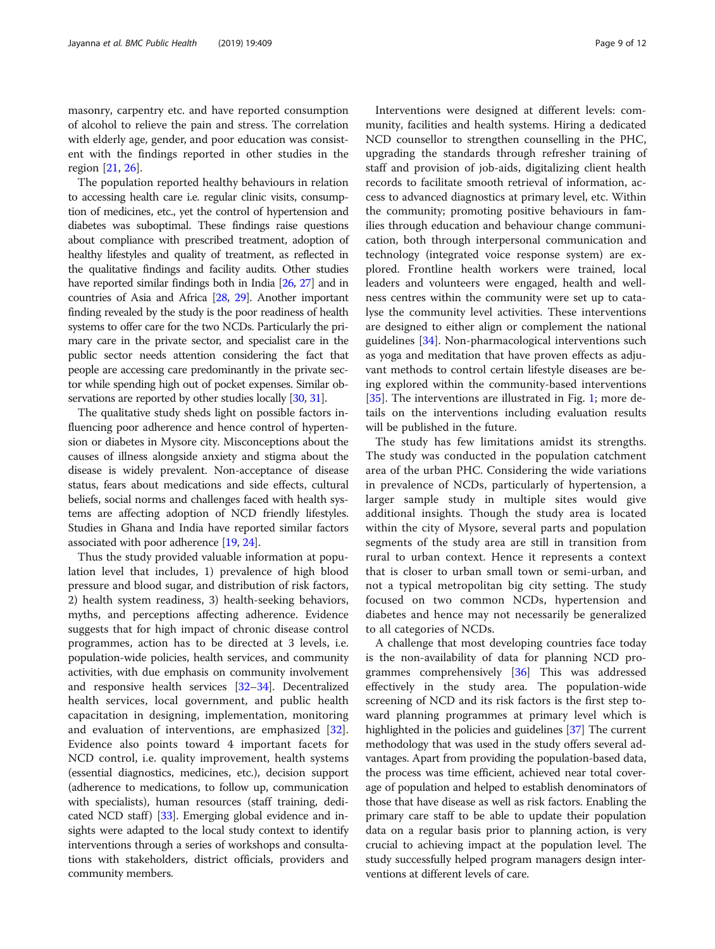masonry, carpentry etc. and have reported consumption of alcohol to relieve the pain and stress. The correlation with elderly age, gender, and poor education was consistent with the findings reported in other studies in the region [[21](#page-11-0), [26](#page-11-0)].

The population reported healthy behaviours in relation to accessing health care i.e. regular clinic visits, consumption of medicines, etc., yet the control of hypertension and diabetes was suboptimal. These findings raise questions about compliance with prescribed treatment, adoption of healthy lifestyles and quality of treatment, as reflected in the qualitative findings and facility audits. Other studies have reported similar findings both in India [\[26,](#page-11-0) [27](#page-11-0)] and in countries of Asia and Africa [\[28](#page-11-0), [29](#page-11-0)]. Another important finding revealed by the study is the poor readiness of health systems to offer care for the two NCDs. Particularly the primary care in the private sector, and specialist care in the public sector needs attention considering the fact that people are accessing care predominantly in the private sector while spending high out of pocket expenses. Similar ob-servations are reported by other studies locally [\[30](#page-11-0), [31\]](#page-11-0).

The qualitative study sheds light on possible factors influencing poor adherence and hence control of hypertension or diabetes in Mysore city. Misconceptions about the causes of illness alongside anxiety and stigma about the disease is widely prevalent. Non-acceptance of disease status, fears about medications and side effects, cultural beliefs, social norms and challenges faced with health systems are affecting adoption of NCD friendly lifestyles. Studies in Ghana and India have reported similar factors associated with poor adherence [[19,](#page-11-0) [24\]](#page-11-0).

Thus the study provided valuable information at population level that includes, 1) prevalence of high blood pressure and blood sugar, and distribution of risk factors, 2) health system readiness, 3) health-seeking behaviors, myths, and perceptions affecting adherence. Evidence suggests that for high impact of chronic disease control programmes, action has to be directed at 3 levels, i.e. population-wide policies, health services, and community activities, with due emphasis on community involvement and responsive health services [[32](#page-11-0)–[34\]](#page-11-0). Decentralized health services, local government, and public health capacitation in designing, implementation, monitoring and evaluation of interventions, are emphasized [[32](#page-11-0)]. Evidence also points toward 4 important facets for NCD control, i.e. quality improvement, health systems (essential diagnostics, medicines, etc.), decision support (adherence to medications, to follow up, communication with specialists), human resources (staff training, dedicated NCD staff)  $[33]$  $[33]$ . Emerging global evidence and insights were adapted to the local study context to identify interventions through a series of workshops and consultations with stakeholders, district officials, providers and community members.

Interventions were designed at different levels: community, facilities and health systems. Hiring a dedicated NCD counsellor to strengthen counselling in the PHC, upgrading the standards through refresher training of staff and provision of job-aids, digitalizing client health records to facilitate smooth retrieval of information, access to advanced diagnostics at primary level, etc. Within the community; promoting positive behaviours in families through education and behaviour change communication, both through interpersonal communication and technology (integrated voice response system) are explored. Frontline health workers were trained, local leaders and volunteers were engaged, health and wellness centres within the community were set up to catalyse the community level activities. These interventions are designed to either align or complement the national guidelines [\[34\]](#page-11-0). Non-pharmacological interventions such as yoga and meditation that have proven effects as adjuvant methods to control certain lifestyle diseases are being explored within the community-based interventions [[35\]](#page-11-0). The interventions are illustrated in Fig. [1;](#page-9-0) more details on the interventions including evaluation results will be published in the future.

The study has few limitations amidst its strengths. The study was conducted in the population catchment area of the urban PHC. Considering the wide variations in prevalence of NCDs, particularly of hypertension, a larger sample study in multiple sites would give additional insights. Though the study area is located within the city of Mysore, several parts and population segments of the study area are still in transition from rural to urban context. Hence it represents a context that is closer to urban small town or semi-urban, and not a typical metropolitan big city setting. The study focused on two common NCDs, hypertension and diabetes and hence may not necessarily be generalized to all categories of NCDs.

A challenge that most developing countries face today is the non-availability of data for planning NCD programmes comprehensively [\[36\]](#page-11-0) This was addressed effectively in the study area. The population-wide screening of NCD and its risk factors is the first step toward planning programmes at primary level which is highlighted in the policies and guidelines [[37](#page-11-0)] The current methodology that was used in the study offers several advantages. Apart from providing the population-based data, the process was time efficient, achieved near total coverage of population and helped to establish denominators of those that have disease as well as risk factors. Enabling the primary care staff to be able to update their population data on a regular basis prior to planning action, is very crucial to achieving impact at the population level. The study successfully helped program managers design interventions at different levels of care.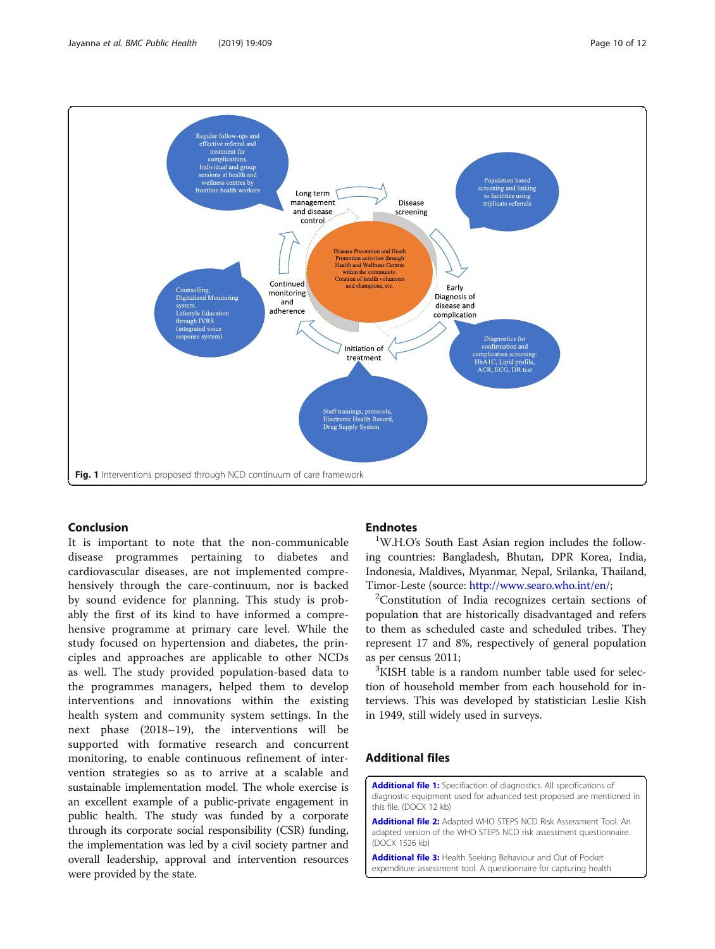<span id="page-9-0"></span>

# Conclusion

It is important to note that the non-communicable disease programmes pertaining to diabetes and cardiovascular diseases, are not implemented comprehensively through the care-continuum, nor is backed by sound evidence for planning. This study is probably the first of its kind to have informed a comprehensive programme at primary care level. While the study focused on hypertension and diabetes, the principles and approaches are applicable to other NCDs as well. The study provided population-based data to the programmes managers, helped them to develop interventions and innovations within the existing health system and community system settings. In the next phase (2018–19), the interventions will be supported with formative research and concurrent monitoring, to enable continuous refinement of intervention strategies so as to arrive at a scalable and sustainable implementation model. The whole exercise is an excellent example of a public-private engagement in public health. The study was funded by a corporate through its corporate social responsibility (CSR) funding, the implementation was led by a civil society partner and overall leadership, approval and intervention resources were provided by the state.

# **Endnotes**

<sup>1</sup>W.H.O's South East Asian region includes the following countries: Bangladesh, Bhutan, DPR Korea, India, Indonesia, Maldives, Myanmar, Nepal, Srilanka, Thailand, Timor-Leste (source: <http://www.searo.who.int/en/>; <sup>2</sup>

<sup>2</sup>Constitution of India recognizes certain sections of population that are historically disadvantaged and refers to them as scheduled caste and scheduled tribes. They represent 17 and 8%, respectively of general population as per census 2011;

<sup>3</sup>KISH table is a random number table used for selection of household member from each household for interviews. This was developed by statistician Leslie Kish in 1949, still widely used in surveys.

# Additional files

[Additional file 1:](https://doi.org/10.1186/s12889-019-6735-z) Specifiaction of diagnostics. All specifications of diagnostic equipment used for advanced test proposed are mentioned in this file. (DOCX 12 kb)

[Additional file 2:](https://doi.org/10.1186/s12889-019-6735-z) Adapted WHO STEPS NCD Risk Assessment Tool. An adapted version of the WHO STEPS NCD risk assessment questionnaire. (DOCX 1526 kb)

[Additional file 3:](https://doi.org/10.1186/s12889-019-6735-z) Health Seeking Behaviour and Out of Pocket expenditure assessment tool. A questionnaire for capturing health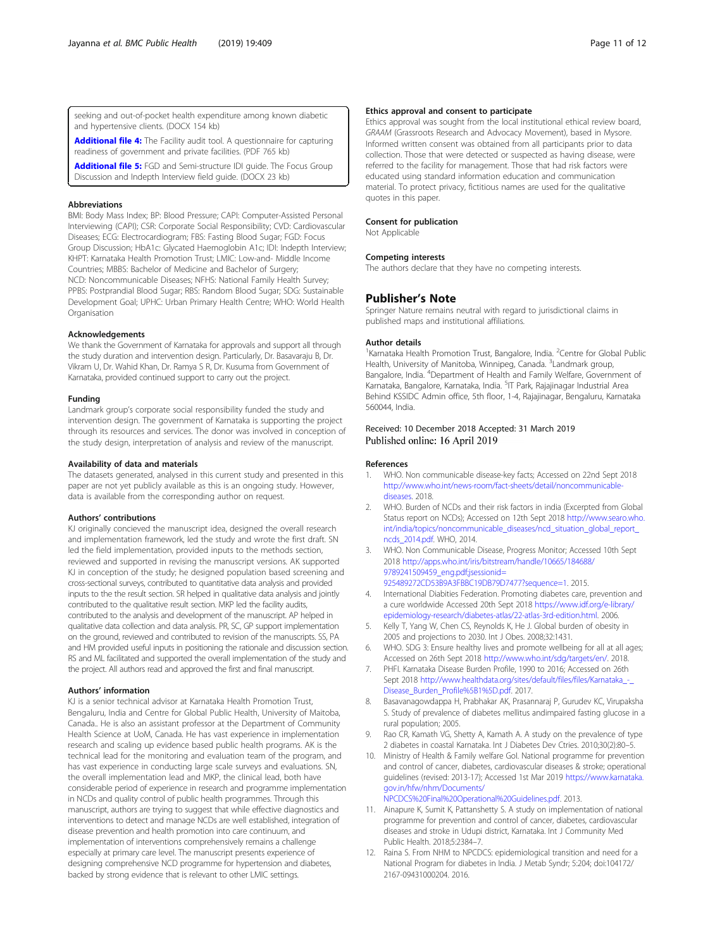<span id="page-10-0"></span>seeking and out-of-pocket health expenditure among known diabetic and hypertensive clients. (DOCX 154 kb)

[Additional file 4:](https://doi.org/10.1186/s12889-019-6735-z) The Facility audit tool. A questionnaire for capturing readiness of government and private facilities. (PDF 765 kb)

[Additional file 5:](https://doi.org/10.1186/s12889-019-6735-z) FGD and Semi-structure IDI quide. The Focus Group Discussion and Indepth Interview field guide. (DOCX 23 kb)

#### Abbreviations

BMI: Body Mass Index; BP: Blood Pressure; CAPI: Computer-Assisted Personal Interviewing (CAPI); CSR: Corporate Social Responsibility; CVD: Cardiovascular Diseases; ECG: Electrocardiogram; FBS: Fasting Blood Sugar; FGD: Focus Group Discussion; HbA1c: Glycated Haemoglobin A1c; IDI: Indepth Interview; KHPT: Karnataka Health Promotion Trust; LMIC: Low-and- Middle Income Countries; MBBS: Bachelor of Medicine and Bachelor of Surgery; NCD: Noncommunicable Diseases; NFHS: National Family Health Survey; PPBS: Postprandial Blood Sugar; RBS: Random Blood Sugar; SDG: Sustainable Development Goal; UPHC: Urban Primary Health Centre; WHO: World Health **Organisation** 

#### Acknowledgements

We thank the Government of Karnataka for approvals and support all through the study duration and intervention design. Particularly, Dr. Basavaraju B, Dr. Vikram U, Dr. Wahid Khan, Dr. Ramya S R, Dr. Kusuma from Government of Karnataka, provided continued support to carry out the project.

#### Funding

Landmark group's corporate social responsibility funded the study and intervention design. The government of Karnataka is supporting the project through its resources and services. The donor was involved in conception of the study design, interpretation of analysis and review of the manuscript.

#### Availability of data and materials

The datasets generated, analysed in this current study and presented in this paper are not yet publicly available as this is an ongoing study. However, data is available from the corresponding author on request.

#### Authors' contributions

KJ originally concieved the manuscript idea, designed the overall research and implementation framework, led the study and wrote the first draft. SN led the field implementation, provided inputs to the methods section, reviewed and supported in revising the manuscript versions. AK supported KJ in conception of the study; he designed population based screening and cross-sectional surveys, contributed to quantitative data analysis and provided inputs to the the result section. SR helped in qualitative data analysis and jointly contributed to the qualitative result section. MKP led the facility audits, contributed to the analysis and development of the manuscript. AP helped in qualitative data collection and data analysis. PR, SC, GP support implementation on the ground, reviewed and contributed to revision of the manuscripts. SS, PA and HM provided useful inputs in positioning the rationale and discussion section. RS and ML facilitated and supported the overall implementation of the study and the project. All authors read and approved the first and final manuscript.

#### Authors' information

KJ is a senior technical advisor at Karnataka Health Promotion Trust, Bengaluru, India and Centre for Global Public Health, University of Maitoba, Canada.. He is also an assistant professor at the Department of Community Health Science at UoM, Canada. He has vast experience in implementation research and scaling up evidence based public health programs. AK is the technical lead for the monitoring and evaluation team of the program, and has vast experience in conducting large scale surveys and evaluations. SN, the overall implementation lead and MKP, the clinical lead, both have considerable period of experience in research and programme implementation in NCDs and quality control of public health programmes. Through this manuscript, authors are trying to suggest that while effective diagnostics and interventions to detect and manage NCDs are well established, integration of disease prevention and health promotion into care continuum, and implementation of interventions comprehensively remains a challenge especially at primary care level. The manuscript presents experience of designing comprehensive NCD programme for hypertension and diabetes, backed by strong evidence that is relevant to other LMIC settings.

### Ethics approval and consent to participate

Ethics approval was sought from the local institutional ethical review board, GRAAM (Grassroots Research and Advocacy Movement), based in Mysore. Informed written consent was obtained from all participants prior to data collection. Those that were detected or suspected as having disease, were referred to the facility for management. Those that had risk factors were educated using standard information education and communication material. To protect privacy, fictitious names are used for the qualitative quotes in this paper.

# Consent for publication

Not Applicable

#### Competing interests

The authors declare that they have no competing interests.

# Publisher's Note

Springer Nature remains neutral with regard to jurisdictional claims in published maps and institutional affiliations.

#### Author details

<sup>1</sup> Karnataka Health Promotion Trust, Bangalore, India. <sup>2</sup> Centre for Global Public Health, University of Manitoba, Winnipeg, Canada. <sup>3</sup> Landmark group, Bangalore, India. <sup>4</sup> Department of Health and Family Welfare, Government of Karnataka, Bangalore, Karnataka, India. <sup>5</sup>IT Park, Rajajinagar Industrial Area Behind KSSIDC Admin office, 5th floor, 1-4, Rajajinagar, Bengaluru, Karnataka 560044, India.

# Received: 10 December 2018 Accepted: 31 March 2019 Published online: 16 April 2019

#### References

- 1. WHO. Non communicable disease-key facts; Accessed on 22nd Sept 2018 [http://www.who.int/news-room/fact-sheets/detail/noncommunicable](http://www.who.int/news-room/fact-sheets/detail/noncommunicable-diseases)[diseases.](http://www.who.int/news-room/fact-sheets/detail/noncommunicable-diseases) 2018.
- 2. WHO. Burden of NCDs and their risk factors in india (Excerpted from Global Status report on NCDs); Accessed on 12th Sept 2018 [http://www.searo.who.](http://www.searo.who.int/india/topics/noncommunicable_diseases/ncd_situation_global_report_ncds_2014.pdf) [int/india/topics/noncommunicable\\_diseases/ncd\\_situation\\_global\\_report\\_](http://www.searo.who.int/india/topics/noncommunicable_diseases/ncd_situation_global_report_ncds_2014.pdf) [ncds\\_2014.pdf](http://www.searo.who.int/india/topics/noncommunicable_diseases/ncd_situation_global_report_ncds_2014.pdf). WHO, 2014.
- 3. WHO. Non Communicable Disease, Progress Monitor; Accessed 10th Sept 2018 [http://apps.who.int/iris/bitstream/handle/10665/184688/](http://apps.who.int/iris/bitstream/handle/10665/184688/9789241509459_eng.pdf;jsessionid=925489272CD53B9A3FBBC19DB79D7477?sequence=1) [9789241509459\\_eng.pdf;jsessionid=](http://apps.who.int/iris/bitstream/handle/10665/184688/9789241509459_eng.pdf;jsessionid=925489272CD53B9A3FBBC19DB79D7477?sequence=1) [925489272CD53B9A3FBBC19DB79D7477?sequence=1](http://apps.who.int/iris/bitstream/handle/10665/184688/9789241509459_eng.pdf;jsessionid=925489272CD53B9A3FBBC19DB79D7477?sequence=1). 2015.
- 4. International Diabities Federation. Promoting diabetes care, prevention and a cure worldwide Accessed 20th Sept 2018 [https://www.idf.org/e-library/](https://www.idf.org/e-library/epidemiology-research/diabetes-atlas/22-atlas-3rd-edition.html) [epidemiology-research/diabetes-atlas/22-atlas-3rd-edition.html.](https://www.idf.org/e-library/epidemiology-research/diabetes-atlas/22-atlas-3rd-edition.html) 2006.
- Kelly T, Yang W, Chen CS, Reynolds K, He J. Global burden of obesity in 2005 and projections to 2030. Int J Obes. 2008;32:1431.
- 6. WHO. SDG 3: Ensure healthy lives and promote wellbeing for all at all ages; Accessed on 26th Sept 2018 [http://www.who.int/sdg/targets/en/.](http://www.who.int/sdg/targets/en/) 2018.
- 7. PHFI. Karnataka Disease Burden Profile, 1990 to 2016; Accessed on 26th Sept 2018 http://www.healthdata.org/sites/default/files/files/Karnataka\_-[Disease\\_Burden\\_Profile%5B1%5D.pdf.](http://www.healthdata.org/sites/default/files/files/Karnataka_-_Disease_Burden_Profile%5B1%5D.pdf) 2017.
- 8. Basavanagowdappa H, Prabhakar AK, Prasannaraj P, Gurudev KC, Virupaksha S. Study of prevalence of diabetes mellitus andimpaired fasting glucose in a rural population; 2005.
- Rao CR, Kamath VG, Shetty A, Kamath A. A study on the prevalence of type 2 diabetes in coastal Karnataka. Int J Diabetes Dev Ctries. 2010;30(2):80–5.
- 10. Ministry of Health & Family welfare GoI. National programme for prevention and control of cancer, diabetes, cardiovascular diseases & stroke; operational guidelines (revised: 2013-17); Accessed 1st Mar 2019 [https://www.karnataka.](https://www.karnataka.gov.in/hfw/nhm/Documents/NPCDCS%20Final%20Operational%20Guidelines.pdf) [gov.in/hfw/nhm/Documents/](https://www.karnataka.gov.in/hfw/nhm/Documents/NPCDCS%20Final%20Operational%20Guidelines.pdf) [NPCDCS%20Final%20Operational%20Guidelines.pdf](https://www.karnataka.gov.in/hfw/nhm/Documents/NPCDCS%20Final%20Operational%20Guidelines.pdf). 2013.
- 11. Ainapure K, Sumit K, Pattanshetty S. A study on implementation of national programme for prevention and control of cancer, diabetes, cardiovascular diseases and stroke in Udupi district, Karnataka. Int J Community Med Public Health. 2018;5:2384–7.
- 12. Raina S. From NHM to NPCDCS: epidemiological transition and need for a National Program for diabetes in India. J Metab Syndr; 5:204; doi:104172/ 2167-09431000204. 2016.